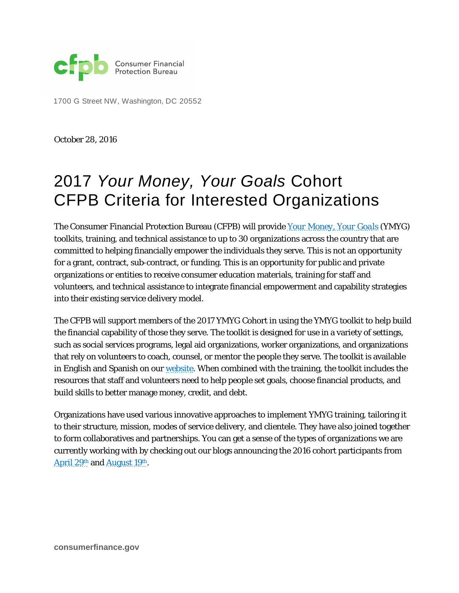

1700 G Street NW, Washington, DC 20552

October 28, 2016

# 2017 *Your Money, Your Goals* Cohort CFPB Criteria for Interested Organizations

The Consumer Financial Protection Bureau (CFPB) will provide *[Your Money, Your Goals](http://www.consumerfinance.gov/your-money-your-goals/)* (YMYG) toolkits, training, and technical assistance to up to 30 organizations across the country that are committed to helping financially empower the individuals they serve. This is not an opportunity for a grant, contract, sub-contract, or funding. This is an opportunity for public and private organizations or entities to receive consumer education materials, training for staff and volunteers, and technical assistance to integrate financial empowerment and capability strategies into their existing service delivery model.

The CFPB will support members of the 2017 YMYG Cohort in using the YMYG toolkit to help build the financial capability of those they serve. The toolkit is designed for use in a variety of settings, such as social services programs, legal aid organizations, worker organizations, and organizations that rely on volunteers to coach, counsel, or mentor the people they serve. The toolkit is available in English and Spanish on our [website.](http://www.consumerfinance.gov/your-money-your-goals/) When combined with the training, the toolkit includes the resources that staff and volunteers need to help people set goals, choose financial products, and build skills to better manage money, credit, and debt.

Organizations have used various innovative approaches to implement YMYG training, tailoring it to their structure, mission, modes of service delivery, and clientele. They have also joined together to form collaboratives and partnerships. You can get a sense of the types of organizations we are currently working with by checking out our blogs announcing the 2016 cohort participants from April 29<sup>th</sup> and August 19<sup>th</sup>.

**consumerfinance.gov**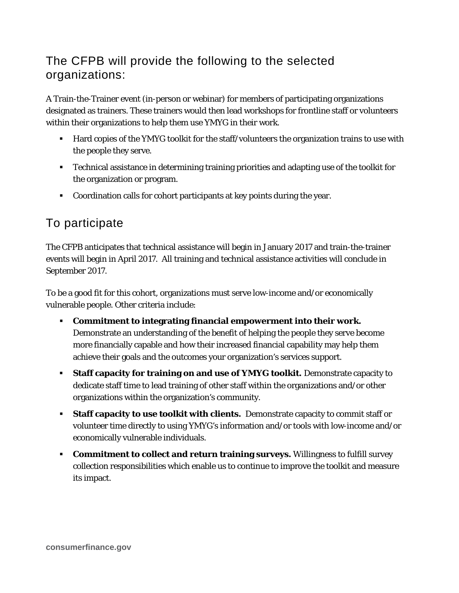## The CFPB will provide the following to the selected organizations:

A Train-the-Trainer event (in-person or webinar) for members of participating organizations designated as trainers. These trainers would then lead workshops for frontline staff or volunteers within their organizations to help them use YMYG in their work.

- Hard copies of the YMYG toolkit for the staff/volunteers the organization trains to use with the people they serve.
- Technical assistance in determining training priorities and adapting use of the toolkit for the organization or program.
- Coordination calls for cohort participants at key points during the year.

## To participate

The CFPB anticipates that technical assistance will begin in January 2017 and train-the-trainer events will begin in April 2017. All training and technical assistance activities will conclude in September 2017.

To be a good fit for this cohort, organizations must serve low-income and/or economically vulnerable people. Other criteria include:

- **Commitment to integrating financial empowerment into their work.** Demonstrate an understanding of the benefit of helping the people they serve become more financially capable and how their increased financial capability may help them achieve their goals and the outcomes your organization's services support.
- **Staff capacity for training on and use of YMYG toolkit.** Demonstrate capacity to dedicate staff time to lead training of other staff within the organizations and/or other organizations within the organization's community.
- **Staff capacity to use toolkit with clients.** Demonstrate capacity to commit staff or volunteer time directly to using YMYG's information and/or tools with low-income and/or economically vulnerable individuals.
- **Commitment to collect and return training surveys.** Willingness to fulfill survey collection responsibilities which enable us to continue to improve the toolkit and measure its impact.